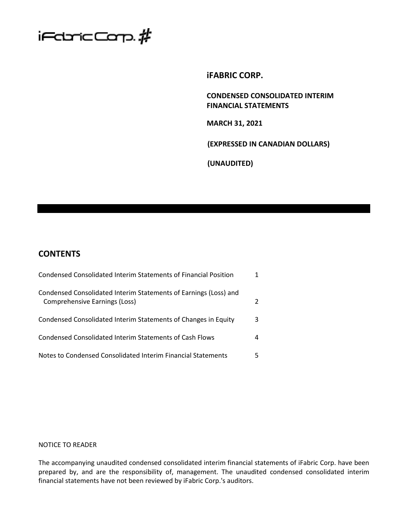

# **iFABRIC CORP.**

**CONDENSED CONSOLIDATED INTERIM FINANCIAL STATEMENTS**

**MARCH 31, 2021**

**(EXPRESSED IN CANADIAN DOLLARS)**

**(UNAUDITED)**

# **CONTENTS**

| Condensed Consolidated Interim Statements of Financial Position                                   |   |
|---------------------------------------------------------------------------------------------------|---|
| Condensed Consolidated Interim Statements of Earnings (Loss) and<br>Comprehensive Earnings (Loss) |   |
| Condensed Consolidated Interim Statements of Changes in Equity                                    | 3 |
| Condensed Consolidated Interim Statements of Cash Flows                                           | 4 |
| Notes to Condensed Consolidated Interim Financial Statements                                      |   |

# NOTICE TO READER

The accompanying unaudited condensed consolidated interim financial statements of iFabric Corp. have been prepared by, and are the responsibility of, management. The unaudited condensed consolidated interim financial statements have not been reviewed by iFabric Corp.'s auditors.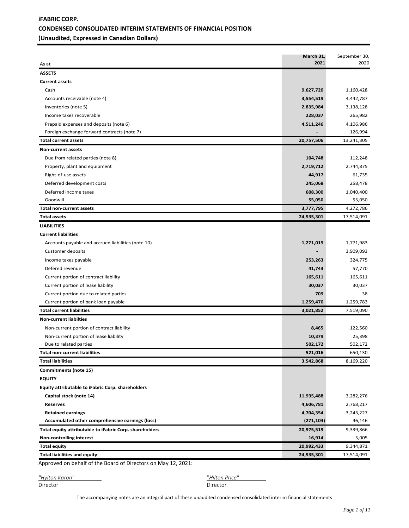# **iFABRIC CORP. CONDENSED CONSOLIDATED INTERIM STATEMENTS OF FINANCIAL POSITION (Unaudited, Expressed in Canadian Dollars)**

| <b>ASSETS</b><br><b>Current assets</b><br>Cash<br>9,627,720<br>1,160,428<br>Accounts receivable (note 4)<br>3,554,519<br>4,442,787<br>3,138,128<br>Inventories (note 5)<br>2,835,984<br>228,037<br>265,982<br>Income taxes recoverable<br>4,106,986<br>Prepaid expenses and deposits (note 6)<br>4,511,246<br>126,994<br>Foreign exchange forward contracts (note 7)<br>20,757,506<br><b>Total current assets</b><br>13,241,305<br><b>Non-current assets</b><br>Due from related parties (note 8)<br>104,748<br>112,248<br>2,719,712<br>2,744,875<br>Property, plant and equipment<br>61,735<br>Right-of-use assets<br>44,917<br>Deferred development costs<br>245,068<br>258,478<br>Deferred income taxes<br>608,300<br>1,040,400<br>Goodwill<br>55,050<br>55,050<br><b>Total non-current assets</b><br>3,777,795<br>4,272,786<br>24,535,301<br>17,514,091<br><b>Total assets</b><br><b>LIABILITIES</b><br><b>Current liabilities</b><br>Accounts payable and accrued liabilities (note 10)<br>1,271,019<br>1,771,983<br>3,909,093<br><b>Customer deposits</b><br>324,775<br>Income taxes payable<br>253,263<br>Defered revenue<br>57,770<br>41,743<br>Current portion of contract liability<br>165,611<br>165,611<br>30,037<br>30,037<br>Current portion of lease liability<br>709<br>Current portion due to related parties<br>38<br>1,259,470<br>1,259,783<br>Current portion of bank loan payable<br><b>Total current liabilities</b><br>3,021,852<br>7,519,090<br><b>Non-current liabilties</b><br>Non-current portion of contract liability<br>122,560<br>8,465<br>Non-current portion of lease liability<br>10,379<br>25,398<br>502,172<br>Due to related parties<br>502,172<br><b>Total non-current liabilities</b><br>521,016<br>650,130<br><b>Total liabilities</b><br>3,542,868<br>8,169,220<br>Commitments (note 15)<br><b>EQUITY</b><br>Equity attributable to iFabric Corp. shareholders<br>Capital stock (note 14)<br>11,935,488<br>3,282,276<br>4,606,781<br>2,768,217<br><b>Reserves</b><br>4,704,354<br><b>Retained earnings</b><br>3,243,227<br>Accumulated other comprehensive earnings (loss)<br>(271, 104)<br>46,146<br>Total equity attributable to iFabric Corp. shareholders<br>20,975,519<br>9,339,866<br><b>Non-controlling interest</b><br>16,914<br>5,005<br><b>Total equity</b><br>20,992,433<br>9,344,871<br><b>Total liabilities and equity</b><br>24,535,301<br>17,514,091 | As at | March 31,<br>2021 | September 30,<br>2020 |
|--------------------------------------------------------------------------------------------------------------------------------------------------------------------------------------------------------------------------------------------------------------------------------------------------------------------------------------------------------------------------------------------------------------------------------------------------------------------------------------------------------------------------------------------------------------------------------------------------------------------------------------------------------------------------------------------------------------------------------------------------------------------------------------------------------------------------------------------------------------------------------------------------------------------------------------------------------------------------------------------------------------------------------------------------------------------------------------------------------------------------------------------------------------------------------------------------------------------------------------------------------------------------------------------------------------------------------------------------------------------------------------------------------------------------------------------------------------------------------------------------------------------------------------------------------------------------------------------------------------------------------------------------------------------------------------------------------------------------------------------------------------------------------------------------------------------------------------------------------------------------------------------------------------------------------------------------------------------------------------------------------------------------------------------------------------------------------------------------------------------------------------------------------------------------------------------------------------------------------------------------------------------------------------------------------------------------------------------------------------------------------------------------------------|-------|-------------------|-----------------------|
|                                                                                                                                                                                                                                                                                                                                                                                                                                                                                                                                                                                                                                                                                                                                                                                                                                                                                                                                                                                                                                                                                                                                                                                                                                                                                                                                                                                                                                                                                                                                                                                                                                                                                                                                                                                                                                                                                                                                                                                                                                                                                                                                                                                                                                                                                                                                                                                                              |       |                   |                       |
|                                                                                                                                                                                                                                                                                                                                                                                                                                                                                                                                                                                                                                                                                                                                                                                                                                                                                                                                                                                                                                                                                                                                                                                                                                                                                                                                                                                                                                                                                                                                                                                                                                                                                                                                                                                                                                                                                                                                                                                                                                                                                                                                                                                                                                                                                                                                                                                                              |       |                   |                       |
|                                                                                                                                                                                                                                                                                                                                                                                                                                                                                                                                                                                                                                                                                                                                                                                                                                                                                                                                                                                                                                                                                                                                                                                                                                                                                                                                                                                                                                                                                                                                                                                                                                                                                                                                                                                                                                                                                                                                                                                                                                                                                                                                                                                                                                                                                                                                                                                                              |       |                   |                       |
|                                                                                                                                                                                                                                                                                                                                                                                                                                                                                                                                                                                                                                                                                                                                                                                                                                                                                                                                                                                                                                                                                                                                                                                                                                                                                                                                                                                                                                                                                                                                                                                                                                                                                                                                                                                                                                                                                                                                                                                                                                                                                                                                                                                                                                                                                                                                                                                                              |       |                   |                       |
|                                                                                                                                                                                                                                                                                                                                                                                                                                                                                                                                                                                                                                                                                                                                                                                                                                                                                                                                                                                                                                                                                                                                                                                                                                                                                                                                                                                                                                                                                                                                                                                                                                                                                                                                                                                                                                                                                                                                                                                                                                                                                                                                                                                                                                                                                                                                                                                                              |       |                   |                       |
|                                                                                                                                                                                                                                                                                                                                                                                                                                                                                                                                                                                                                                                                                                                                                                                                                                                                                                                                                                                                                                                                                                                                                                                                                                                                                                                                                                                                                                                                                                                                                                                                                                                                                                                                                                                                                                                                                                                                                                                                                                                                                                                                                                                                                                                                                                                                                                                                              |       |                   |                       |
|                                                                                                                                                                                                                                                                                                                                                                                                                                                                                                                                                                                                                                                                                                                                                                                                                                                                                                                                                                                                                                                                                                                                                                                                                                                                                                                                                                                                                                                                                                                                                                                                                                                                                                                                                                                                                                                                                                                                                                                                                                                                                                                                                                                                                                                                                                                                                                                                              |       |                   |                       |
|                                                                                                                                                                                                                                                                                                                                                                                                                                                                                                                                                                                                                                                                                                                                                                                                                                                                                                                                                                                                                                                                                                                                                                                                                                                                                                                                                                                                                                                                                                                                                                                                                                                                                                                                                                                                                                                                                                                                                                                                                                                                                                                                                                                                                                                                                                                                                                                                              |       |                   |                       |
|                                                                                                                                                                                                                                                                                                                                                                                                                                                                                                                                                                                                                                                                                                                                                                                                                                                                                                                                                                                                                                                                                                                                                                                                                                                                                                                                                                                                                                                                                                                                                                                                                                                                                                                                                                                                                                                                                                                                                                                                                                                                                                                                                                                                                                                                                                                                                                                                              |       |                   |                       |
|                                                                                                                                                                                                                                                                                                                                                                                                                                                                                                                                                                                                                                                                                                                                                                                                                                                                                                                                                                                                                                                                                                                                                                                                                                                                                                                                                                                                                                                                                                                                                                                                                                                                                                                                                                                                                                                                                                                                                                                                                                                                                                                                                                                                                                                                                                                                                                                                              |       |                   |                       |
|                                                                                                                                                                                                                                                                                                                                                                                                                                                                                                                                                                                                                                                                                                                                                                                                                                                                                                                                                                                                                                                                                                                                                                                                                                                                                                                                                                                                                                                                                                                                                                                                                                                                                                                                                                                                                                                                                                                                                                                                                                                                                                                                                                                                                                                                                                                                                                                                              |       |                   |                       |
|                                                                                                                                                                                                                                                                                                                                                                                                                                                                                                                                                                                                                                                                                                                                                                                                                                                                                                                                                                                                                                                                                                                                                                                                                                                                                                                                                                                                                                                                                                                                                                                                                                                                                                                                                                                                                                                                                                                                                                                                                                                                                                                                                                                                                                                                                                                                                                                                              |       |                   |                       |
|                                                                                                                                                                                                                                                                                                                                                                                                                                                                                                                                                                                                                                                                                                                                                                                                                                                                                                                                                                                                                                                                                                                                                                                                                                                                                                                                                                                                                                                                                                                                                                                                                                                                                                                                                                                                                                                                                                                                                                                                                                                                                                                                                                                                                                                                                                                                                                                                              |       |                   |                       |
|                                                                                                                                                                                                                                                                                                                                                                                                                                                                                                                                                                                                                                                                                                                                                                                                                                                                                                                                                                                                                                                                                                                                                                                                                                                                                                                                                                                                                                                                                                                                                                                                                                                                                                                                                                                                                                                                                                                                                                                                                                                                                                                                                                                                                                                                                                                                                                                                              |       |                   |                       |
|                                                                                                                                                                                                                                                                                                                                                                                                                                                                                                                                                                                                                                                                                                                                                                                                                                                                                                                                                                                                                                                                                                                                                                                                                                                                                                                                                                                                                                                                                                                                                                                                                                                                                                                                                                                                                                                                                                                                                                                                                                                                                                                                                                                                                                                                                                                                                                                                              |       |                   |                       |
|                                                                                                                                                                                                                                                                                                                                                                                                                                                                                                                                                                                                                                                                                                                                                                                                                                                                                                                                                                                                                                                                                                                                                                                                                                                                                                                                                                                                                                                                                                                                                                                                                                                                                                                                                                                                                                                                                                                                                                                                                                                                                                                                                                                                                                                                                                                                                                                                              |       |                   |                       |
|                                                                                                                                                                                                                                                                                                                                                                                                                                                                                                                                                                                                                                                                                                                                                                                                                                                                                                                                                                                                                                                                                                                                                                                                                                                                                                                                                                                                                                                                                                                                                                                                                                                                                                                                                                                                                                                                                                                                                                                                                                                                                                                                                                                                                                                                                                                                                                                                              |       |                   |                       |
|                                                                                                                                                                                                                                                                                                                                                                                                                                                                                                                                                                                                                                                                                                                                                                                                                                                                                                                                                                                                                                                                                                                                                                                                                                                                                                                                                                                                                                                                                                                                                                                                                                                                                                                                                                                                                                                                                                                                                                                                                                                                                                                                                                                                                                                                                                                                                                                                              |       |                   |                       |
|                                                                                                                                                                                                                                                                                                                                                                                                                                                                                                                                                                                                                                                                                                                                                                                                                                                                                                                                                                                                                                                                                                                                                                                                                                                                                                                                                                                                                                                                                                                                                                                                                                                                                                                                                                                                                                                                                                                                                                                                                                                                                                                                                                                                                                                                                                                                                                                                              |       |                   |                       |
|                                                                                                                                                                                                                                                                                                                                                                                                                                                                                                                                                                                                                                                                                                                                                                                                                                                                                                                                                                                                                                                                                                                                                                                                                                                                                                                                                                                                                                                                                                                                                                                                                                                                                                                                                                                                                                                                                                                                                                                                                                                                                                                                                                                                                                                                                                                                                                                                              |       |                   |                       |
|                                                                                                                                                                                                                                                                                                                                                                                                                                                                                                                                                                                                                                                                                                                                                                                                                                                                                                                                                                                                                                                                                                                                                                                                                                                                                                                                                                                                                                                                                                                                                                                                                                                                                                                                                                                                                                                                                                                                                                                                                                                                                                                                                                                                                                                                                                                                                                                                              |       |                   |                       |
|                                                                                                                                                                                                                                                                                                                                                                                                                                                                                                                                                                                                                                                                                                                                                                                                                                                                                                                                                                                                                                                                                                                                                                                                                                                                                                                                                                                                                                                                                                                                                                                                                                                                                                                                                                                                                                                                                                                                                                                                                                                                                                                                                                                                                                                                                                                                                                                                              |       |                   |                       |
|                                                                                                                                                                                                                                                                                                                                                                                                                                                                                                                                                                                                                                                                                                                                                                                                                                                                                                                                                                                                                                                                                                                                                                                                                                                                                                                                                                                                                                                                                                                                                                                                                                                                                                                                                                                                                                                                                                                                                                                                                                                                                                                                                                                                                                                                                                                                                                                                              |       |                   |                       |
|                                                                                                                                                                                                                                                                                                                                                                                                                                                                                                                                                                                                                                                                                                                                                                                                                                                                                                                                                                                                                                                                                                                                                                                                                                                                                                                                                                                                                                                                                                                                                                                                                                                                                                                                                                                                                                                                                                                                                                                                                                                                                                                                                                                                                                                                                                                                                                                                              |       |                   |                       |
|                                                                                                                                                                                                                                                                                                                                                                                                                                                                                                                                                                                                                                                                                                                                                                                                                                                                                                                                                                                                                                                                                                                                                                                                                                                                                                                                                                                                                                                                                                                                                                                                                                                                                                                                                                                                                                                                                                                                                                                                                                                                                                                                                                                                                                                                                                                                                                                                              |       |                   |                       |
|                                                                                                                                                                                                                                                                                                                                                                                                                                                                                                                                                                                                                                                                                                                                                                                                                                                                                                                                                                                                                                                                                                                                                                                                                                                                                                                                                                                                                                                                                                                                                                                                                                                                                                                                                                                                                                                                                                                                                                                                                                                                                                                                                                                                                                                                                                                                                                                                              |       |                   |                       |
|                                                                                                                                                                                                                                                                                                                                                                                                                                                                                                                                                                                                                                                                                                                                                                                                                                                                                                                                                                                                                                                                                                                                                                                                                                                                                                                                                                                                                                                                                                                                                                                                                                                                                                                                                                                                                                                                                                                                                                                                                                                                                                                                                                                                                                                                                                                                                                                                              |       |                   |                       |
|                                                                                                                                                                                                                                                                                                                                                                                                                                                                                                                                                                                                                                                                                                                                                                                                                                                                                                                                                                                                                                                                                                                                                                                                                                                                                                                                                                                                                                                                                                                                                                                                                                                                                                                                                                                                                                                                                                                                                                                                                                                                                                                                                                                                                                                                                                                                                                                                              |       |                   |                       |
|                                                                                                                                                                                                                                                                                                                                                                                                                                                                                                                                                                                                                                                                                                                                                                                                                                                                                                                                                                                                                                                                                                                                                                                                                                                                                                                                                                                                                                                                                                                                                                                                                                                                                                                                                                                                                                                                                                                                                                                                                                                                                                                                                                                                                                                                                                                                                                                                              |       |                   |                       |
|                                                                                                                                                                                                                                                                                                                                                                                                                                                                                                                                                                                                                                                                                                                                                                                                                                                                                                                                                                                                                                                                                                                                                                                                                                                                                                                                                                                                                                                                                                                                                                                                                                                                                                                                                                                                                                                                                                                                                                                                                                                                                                                                                                                                                                                                                                                                                                                                              |       |                   |                       |
|                                                                                                                                                                                                                                                                                                                                                                                                                                                                                                                                                                                                                                                                                                                                                                                                                                                                                                                                                                                                                                                                                                                                                                                                                                                                                                                                                                                                                                                                                                                                                                                                                                                                                                                                                                                                                                                                                                                                                                                                                                                                                                                                                                                                                                                                                                                                                                                                              |       |                   |                       |
|                                                                                                                                                                                                                                                                                                                                                                                                                                                                                                                                                                                                                                                                                                                                                                                                                                                                                                                                                                                                                                                                                                                                                                                                                                                                                                                                                                                                                                                                                                                                                                                                                                                                                                                                                                                                                                                                                                                                                                                                                                                                                                                                                                                                                                                                                                                                                                                                              |       |                   |                       |
|                                                                                                                                                                                                                                                                                                                                                                                                                                                                                                                                                                                                                                                                                                                                                                                                                                                                                                                                                                                                                                                                                                                                                                                                                                                                                                                                                                                                                                                                                                                                                                                                                                                                                                                                                                                                                                                                                                                                                                                                                                                                                                                                                                                                                                                                                                                                                                                                              |       |                   |                       |
|                                                                                                                                                                                                                                                                                                                                                                                                                                                                                                                                                                                                                                                                                                                                                                                                                                                                                                                                                                                                                                                                                                                                                                                                                                                                                                                                                                                                                                                                                                                                                                                                                                                                                                                                                                                                                                                                                                                                                                                                                                                                                                                                                                                                                                                                                                                                                                                                              |       |                   |                       |
|                                                                                                                                                                                                                                                                                                                                                                                                                                                                                                                                                                                                                                                                                                                                                                                                                                                                                                                                                                                                                                                                                                                                                                                                                                                                                                                                                                                                                                                                                                                                                                                                                                                                                                                                                                                                                                                                                                                                                                                                                                                                                                                                                                                                                                                                                                                                                                                                              |       |                   |                       |
|                                                                                                                                                                                                                                                                                                                                                                                                                                                                                                                                                                                                                                                                                                                                                                                                                                                                                                                                                                                                                                                                                                                                                                                                                                                                                                                                                                                                                                                                                                                                                                                                                                                                                                                                                                                                                                                                                                                                                                                                                                                                                                                                                                                                                                                                                                                                                                                                              |       |                   |                       |
|                                                                                                                                                                                                                                                                                                                                                                                                                                                                                                                                                                                                                                                                                                                                                                                                                                                                                                                                                                                                                                                                                                                                                                                                                                                                                                                                                                                                                                                                                                                                                                                                                                                                                                                                                                                                                                                                                                                                                                                                                                                                                                                                                                                                                                                                                                                                                                                                              |       |                   |                       |
|                                                                                                                                                                                                                                                                                                                                                                                                                                                                                                                                                                                                                                                                                                                                                                                                                                                                                                                                                                                                                                                                                                                                                                                                                                                                                                                                                                                                                                                                                                                                                                                                                                                                                                                                                                                                                                                                                                                                                                                                                                                                                                                                                                                                                                                                                                                                                                                                              |       |                   |                       |
|                                                                                                                                                                                                                                                                                                                                                                                                                                                                                                                                                                                                                                                                                                                                                                                                                                                                                                                                                                                                                                                                                                                                                                                                                                                                                                                                                                                                                                                                                                                                                                                                                                                                                                                                                                                                                                                                                                                                                                                                                                                                                                                                                                                                                                                                                                                                                                                                              |       |                   |                       |
|                                                                                                                                                                                                                                                                                                                                                                                                                                                                                                                                                                                                                                                                                                                                                                                                                                                                                                                                                                                                                                                                                                                                                                                                                                                                                                                                                                                                                                                                                                                                                                                                                                                                                                                                                                                                                                                                                                                                                                                                                                                                                                                                                                                                                                                                                                                                                                                                              |       |                   |                       |
|                                                                                                                                                                                                                                                                                                                                                                                                                                                                                                                                                                                                                                                                                                                                                                                                                                                                                                                                                                                                                                                                                                                                                                                                                                                                                                                                                                                                                                                                                                                                                                                                                                                                                                                                                                                                                                                                                                                                                                                                                                                                                                                                                                                                                                                                                                                                                                                                              |       |                   |                       |
|                                                                                                                                                                                                                                                                                                                                                                                                                                                                                                                                                                                                                                                                                                                                                                                                                                                                                                                                                                                                                                                                                                                                                                                                                                                                                                                                                                                                                                                                                                                                                                                                                                                                                                                                                                                                                                                                                                                                                                                                                                                                                                                                                                                                                                                                                                                                                                                                              |       |                   |                       |
|                                                                                                                                                                                                                                                                                                                                                                                                                                                                                                                                                                                                                                                                                                                                                                                                                                                                                                                                                                                                                                                                                                                                                                                                                                                                                                                                                                                                                                                                                                                                                                                                                                                                                                                                                                                                                                                                                                                                                                                                                                                                                                                                                                                                                                                                                                                                                                                                              |       |                   |                       |
|                                                                                                                                                                                                                                                                                                                                                                                                                                                                                                                                                                                                                                                                                                                                                                                                                                                                                                                                                                                                                                                                                                                                                                                                                                                                                                                                                                                                                                                                                                                                                                                                                                                                                                                                                                                                                                                                                                                                                                                                                                                                                                                                                                                                                                                                                                                                                                                                              |       |                   |                       |
|                                                                                                                                                                                                                                                                                                                                                                                                                                                                                                                                                                                                                                                                                                                                                                                                                                                                                                                                                                                                                                                                                                                                                                                                                                                                                                                                                                                                                                                                                                                                                                                                                                                                                                                                                                                                                                                                                                                                                                                                                                                                                                                                                                                                                                                                                                                                                                                                              |       |                   |                       |
|                                                                                                                                                                                                                                                                                                                                                                                                                                                                                                                                                                                                                                                                                                                                                                                                                                                                                                                                                                                                                                                                                                                                                                                                                                                                                                                                                                                                                                                                                                                                                                                                                                                                                                                                                                                                                                                                                                                                                                                                                                                                                                                                                                                                                                                                                                                                                                                                              |       |                   |                       |

Approved on behalf of the Board of Directors on May 12, 2021:

| "Hylton Karon" | "Hilton Price" |  |
|----------------|----------------|--|
| Director       | Director       |  |

Director

The accompanying notes are an integral part of these unaudited condensed consolidated interim financial statements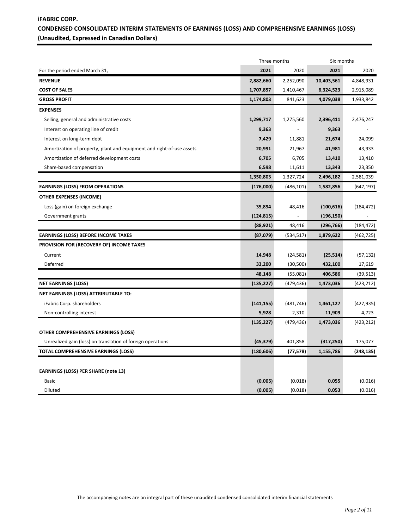# **iFABRIC CORP. CONDENSED CONSOLIDATED INTERIM STATEMENTS OF EARNINGS (LOSS) AND COMPREHENSIVE EARNINGS (LOSS) (Unaudited, Expressed in Canadian Dollars)**

|                                                                       |            | Three months             |            | Six months |
|-----------------------------------------------------------------------|------------|--------------------------|------------|------------|
| For the period ended March 31,                                        | 2021       | 2020                     | 2021       | 2020       |
| <b>REVENUE</b>                                                        | 2,882,660  | 2,252,090                | 10,403,561 | 4,848,931  |
| <b>COST OF SALES</b>                                                  | 1,707,857  | 1,410,467                | 6,324,523  | 2,915,089  |
| <b>GROSS PROFIT</b>                                                   | 1,174,803  | 841,623                  | 4,079,038  | 1,933,842  |
| <b>EXPENSES</b>                                                       |            |                          |            |            |
| Selling, general and administrative costs                             | 1,299,717  | 1,275,560                | 2,396,411  | 2,476,247  |
| Interest on operating line of credit                                  | 9,363      |                          | 9,363      |            |
| Interest on long-term debt                                            | 7,429      | 11,881                   | 21,674     | 24,099     |
| Amortization of property, plant and equipment and right-of-use assets | 20,991     | 21,967                   | 41,981     | 43,933     |
| Amortization of deferred development costs                            | 6,705      | 6,705                    | 13,410     | 13,410     |
| Share-based compensation                                              | 6,598      | 11,611                   | 13,343     | 23,350     |
|                                                                       | 1,350,803  | 1,327,724                | 2,496,182  | 2,581,039  |
| <b>EARNINGS (LOSS) FROM OPERATIONS</b>                                | (176,000)  | (486, 101)               | 1,582,856  | (647, 197) |
| <b>OTHER EXPENSES (INCOME)</b>                                        |            |                          |            |            |
| Loss (gain) on foreign exchange                                       | 35,894     | 48,416                   | (100, 616) | (184, 472) |
| Government grants                                                     | (124, 815) | $\overline{\phantom{a}}$ | (196, 150) |            |
|                                                                       | (88, 921)  | 48,416                   | (296, 766) | (184, 472) |
| <b>EARNINGS (LOSS) BEFORE INCOME TAXES</b>                            | (87,079)   | (534, 517)               | 1,879,622  | (462, 725) |
| PROVISION FOR (RECOVERY OF) INCOME TAXES                              |            |                          |            |            |
| Current                                                               | 14,948     | (24, 581)                | (25, 514)  | (57, 132)  |
| Deferred                                                              | 33,200     | (30, 500)                | 432,100    | 17,619     |
|                                                                       | 48,148     | (55,081)                 | 406,586    | (39, 513)  |
| <b>NET EARNINGS (LOSS)</b>                                            | (135,227)  | (479, 436)               | 1,473,036  | (423, 212) |
| NET EARNINGS (LOSS) ATTRIBUTABLE TO:                                  |            |                          |            |            |
| iFabric Corp. shareholders                                            | (141, 155) | (481, 746)               | 1,461,127  | (427, 935) |
| Non-controlling interest                                              | 5,928      | 2,310                    | 11,909     | 4,723      |
|                                                                       | (135, 227) | (479, 436)               | 1,473,036  | (423, 212) |
| <b>OTHER COMPREHENSIVE EARNINGS (LOSS)</b>                            |            |                          |            |            |
| Unrealized gain (loss) on translation of foreign operations           | (45, 379)  | 401,858                  | (317, 250) | 175,077    |
| <b>TOTAL COMPREHENSIVE EARNINGS (LOSS)</b>                            | (180, 606) | (77, 578)                | 1,155,786  | (248, 135) |
|                                                                       |            |                          |            |            |
| <b>EARNINGS (LOSS) PER SHARE (note 13)</b>                            |            |                          |            |            |
| <b>Basic</b>                                                          | (0.005)    | (0.018)                  | 0.055      | (0.016)    |
| Diluted                                                               | (0.005)    | (0.018)                  | 0.053      | (0.016)    |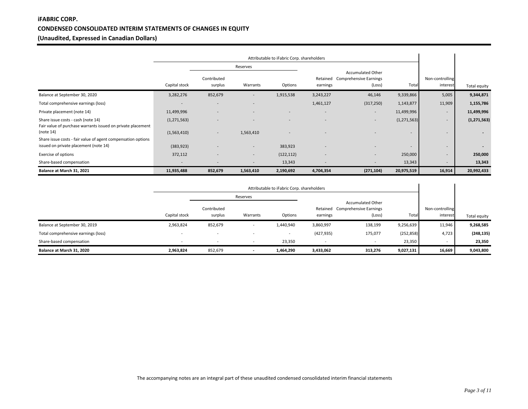# **iFABRIC CORP. CONDENSED CONSOLIDATED INTERIM STATEMENTS OF CHANGES IN EQUITY (Unaudited, Expressed in Canadian Dollars)**

|                                                                                                       | Attributable to iFabric Corp. shareholders |                        |                          |            |                          |                                                                |                          |                             |                          |
|-------------------------------------------------------------------------------------------------------|--------------------------------------------|------------------------|--------------------------|------------|--------------------------|----------------------------------------------------------------|--------------------------|-----------------------------|--------------------------|
|                                                                                                       |                                            |                        | Reserves                 |            |                          |                                                                |                          |                             |                          |
|                                                                                                       | Capital stock                              | Contributed<br>surplus | Warrants                 | Options    | earnings                 | Accumulated Other<br>Retained Comprehensive Earnings<br>(Loss) | Total                    | Non-controlling<br>interest | Total equity             |
| Balance at September 30, 2020                                                                         | 3,282,276                                  | 852,679                | $\overline{\phantom{a}}$ | 1,915,538  | 3,243,227                | 46,146                                                         | 9,339,866                | 5,005                       | 9,344,871                |
| Total comprehensive earnings (loss)                                                                   |                                            |                        |                          |            | 1,461,127                | (317, 250)                                                     | 1,143,877                | 11,909                      | 1,155,786                |
| Private placement (note 14)                                                                           | 11,499,996                                 |                        |                          |            | $\overline{\phantom{0}}$ | $\overline{\phantom{a}}$                                       | 11,499,996               | $\overline{\phantom{a}}$    | 11,499,996               |
| Share issue costs - cash (note 14)<br>Fair value of purchase warrants issued on private placement     | (1, 271, 563)                              |                        |                          | <b>-</b>   |                          | $\sim$                                                         | (1, 271, 563)            | ۰                           | (1,271,563)              |
| (note 14)                                                                                             | (1,563,410)                                | $\sim$                 | 1,563,410                | ۰          |                          |                                                                | $\overline{\phantom{a}}$ | -                           | $\overline{\phantom{a}}$ |
| Share issue costs - fair value of agent compensation options<br>issued on private placement (note 14) | (383, 923)                                 |                        | $\overline{\phantom{0}}$ | 383,923    |                          |                                                                | $\sim$                   | ۰                           | $\blacksquare$           |
| Exercise of options                                                                                   | 372,112                                    |                        | $\overline{\phantom{0}}$ | (122, 112) | $\overline{\phantom{a}}$ | $\overline{\phantom{a}}$                                       | 250,000                  | ۰                           | 250,000                  |
| Share-based compensation                                                                              |                                            |                        |                          | 13,343     |                          |                                                                | 13,343                   | -                           | 13,343                   |
| Balance at March 31, 2021                                                                             | 11,935,488                                 | 852,679                | 1,563,410                | 2,190,692  | 4,704,354                | (271, 104)                                                     | 20,975,519               | 16,914                      | 20,992,433               |

|                                     |                          | Attributable to iFabric Corp. shareholders |                          |                          |                      |                                                                     |            |                             |              |
|-------------------------------------|--------------------------|--------------------------------------------|--------------------------|--------------------------|----------------------|---------------------------------------------------------------------|------------|-----------------------------|--------------|
|                                     |                          |                                            | Reserves                 |                          |                      |                                                                     |            |                             |              |
|                                     | Capital stock            | Contributed<br>surplus                     | Warrants                 | Options                  | Retained<br>earnings | <b>Accumulated Other</b><br><b>Comprehensive Earnings</b><br>(Loss) | Total      | Non-controlling<br>interest | Total equity |
| Balance at September 30, 2019       | 2,963,824                | 852,679                                    |                          | 1,440,940                | 3,860,997            | 138,199                                                             | 9,256,639  | 11,946                      | 9,268,585    |
| Total comprehensive earnings (loss) | $\overline{\phantom{0}}$ | $\overline{\phantom{0}}$                   |                          | $\overline{\phantom{a}}$ | (427, 935)           | 175,077                                                             | (252, 858) | 4,723                       | (248, 135)   |
| Share-based compensation            |                          | -                                          | $\sim$                   | 23,350                   |                      | $\overline{\phantom{a}}$                                            | 23,350     | $\overline{\phantom{0}}$    | 23,350       |
| Balance at March 31, 2020           | 2,963,824                | 852,679                                    | $\overline{\phantom{a}}$ | 1,464,290                | 3,433,062            | 313,276                                                             | 9,027,131  | 16,669                      | 9,043,800    |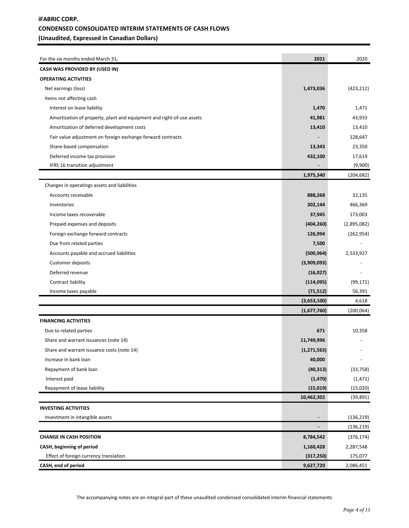# **iFABRIC CORP. CONDENSED CONSOLIDATED INTERIM STATEMENTS OF CASH FLOWS (Unaudited, Expressed in Canadian Dollars)**

| For the six months ended March 31,                                    | 2021           | 2020        |
|-----------------------------------------------------------------------|----------------|-------------|
| CASH WAS PROVIDED BY (USED IN)                                        |                |             |
| <b>OPERATING ACTIVITIES</b>                                           |                |             |
| Net earnings (loss)                                                   | 1,473,036      | (423, 212)  |
| Items not affecting cash                                              |                |             |
| Interest on lease liability                                           | 1,470          | 1,471       |
| Amortization of property, plant and equipment and right-of-use assets | 41,981         | 43,933      |
| Amortization of deferred development costs                            | 13,410         | 13,410      |
| Fair value adjustment on foreign exchange forward contracts           |                | 128,647     |
| Share-based compensation                                              | 13,343         | 23,350      |
| Deferred income tax provision                                         | 432,100        | 17,619      |
| IFRS 16 transition adjustment                                         |                | (9,900)     |
|                                                                       | 1,975,340      | (204, 682)  |
| Changes in operatings assets and liabilities                          |                |             |
| Accounts receivable                                                   | 888,268        | 32,135      |
| Inventories                                                           | 302,144        | 466,369     |
| Income taxes recoverable                                              | 37,945         | 173,003     |
| Prepaid expenses and deposits                                         | (404, 260)     | (2,895,082) |
| Foreign exchange forward contracts                                    | 126,994        | (262, 954)  |
| Due from related parties                                              | 7,500          |             |
| Accounts payable and accrued liabilities                              | (500, 964)     | 2,533,927   |
| Customer deposits                                                     | (3,909,093)    |             |
| Deferred revenue                                                      | (16, 027)      |             |
| Contract liability                                                    | (114, 095)     | (99, 171)   |
| Income taxes payable                                                  | (71, 512)      | 56,391      |
|                                                                       | (3,653,100)    | 4,618       |
|                                                                       | (1,677,760)    | (200, 064)  |
| <b>FINANCING ACTIVITIES</b>                                           |                |             |
| Due to related parties                                                | 671            | 10,358      |
| Share and warrant issuances (note 14)                                 | 11,749,996     |             |
| Share and warrant issuance costs (note 14)                            | (1, 271, 563)  |             |
| Increase in bank loan                                                 | 40,000         |             |
| Repayment of bank loan                                                | (40, 313)      | (33, 758)   |
| Interest paid                                                         | (1, 470)       | (1, 471)    |
| Repayment of lease liability                                          | (15, 019)      | (15,020)    |
|                                                                       | 10,462,302     | (39, 891)   |
| <b>INVESTING ACTIVITIES</b>                                           |                |             |
| Investment in intangible assets                                       |                | (136, 219)  |
|                                                                       | $\blacksquare$ | (136, 219)  |
| <b>CHANGE IN CASH POSITION</b>                                        | 8,784,542      | (376, 174)  |
| CASH, beginning of period                                             | 1,160,428      | 2,287,548   |
| Effect of foreign currency translation                                | (317, 250)     | 175,077     |
| CASH, end of period                                                   | 9,627,720      | 2,086,451   |

The accompanying notes are an integral part of these unaudited condensed consolidated interim financial statements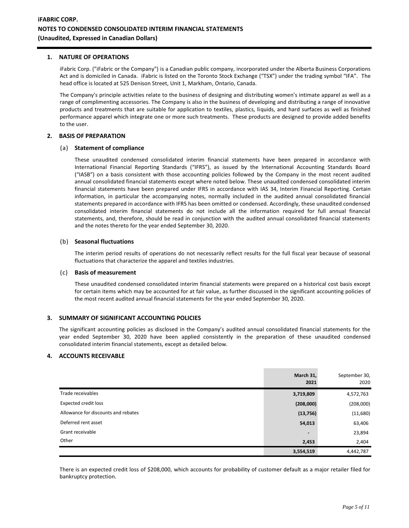### **1. NATURE OF OPERATIONS**

iFabric Corp. ("iFabric or the Company") is a Canadian public company, incorporated under the Alberta Business Corporations Act and is domiciled in Canada. iFabric is listed on the Toronto Stock Exchange ("TSX") under the trading symbol "IFA". The head office is located at 525 Denison Street, Unit 1, Markham, Ontario, Canada.

The Company's principle activities relate to the business of designing and distributing women's intimate apparel as well as a range of complimenting accessories. The Company is also in the business of developing and distributing a range of innovative products and treatments that are suitable for application to textiles, plastics, liquids, and hard surfaces as well as finished performance apparel which integrate one or more such treatments. These products are designed to provide added benefits to the user.

### **2. BASIS OF PREPARATION**

#### (a) **Statement of compliance**

These unaudited condensed consolidated interim financial statements have been prepared in accordance with International Financial Reporting Standards ("IFRS"), as issued by the International Accounting Standards Board ("IASB") on a basis consistent with those accounting policies followed by the Company in the most recent audited annual consolidated financial statements except where noted below. These unaudited condensed consolidated interim financial statements have been prepared under IFRS in accordance with IAS 34, Interim Financial Reporting. Certain information, in particular the accompanying notes, normally included in the audited annual consolidated financial statements prepared in accordance with IFRS has been omitted or condensed. Accordingly, these unaudited condensed consolidated interim financial statements do not include all the information required for full annual financial statements, and, therefore, should be read in conjunction with the audited annual consolidated financial statements and the notes thereto for the year ended September 30, 2020.

#### (b) **Seasonal fluctuations**

The interim period results of operations do not necessarily reflect results for the full fiscal year because of seasonal fluctuations that characterize the apparel and textiles industries.

#### (c) **Basis of measurement**

These unaudited condensed consolidated interim financial statements were prepared on a historical cost basis except for certain items which may be accounted for at fair value, as further discussed in the significant accounting policies of the most recent audited annual financial statements for the year ended September 30, 2020.

### **3. SUMMARY OF SIGNIFICANT ACCOUNTING POLICIES**

The significant accounting policies as disclosed in the Company's audited annual consolidated financial statements for the year ended September 30, 2020 have been applied consistently in the preparation of these unaudited condensed consolidated interim financial statements, except as detailed below.

## **4. ACCOUNTS RECEIVABLE**

|                                     | March 31,<br>2021 | September 30,<br>2020 |
|-------------------------------------|-------------------|-----------------------|
| Trade receivables                   | 3,719,809         | 4,572,763             |
| <b>Expected credit loss</b>         | (208,000)         | (208,000)             |
| Allowance for discounts and rebates | (13, 756)         | (11,680)              |
| Deferred rent asset                 | 54,013            | 63,406                |
| Grant receivable                    | $\blacksquare$    | 23,894                |
| Other                               | 2,453             | 2,404                 |
|                                     | 3,554,519         | 4,442,787             |

There is an expected credit loss of \$208,000, which accounts for probability of customer default as a major retailer filed for bankruptcy protection.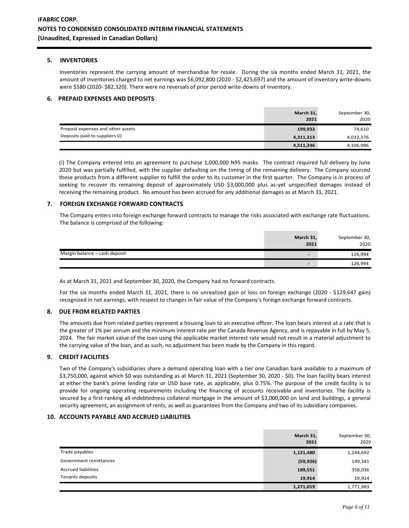## **5. INVENTORIES**

Inventories represent the carrying amount of merchandise for resale. During the six months ended March 31, 2021, the amount of inventories charged to net earnings was \$6,092,800 (2020 - \$2,425,697) and the amount of inventory write-downs were \$580 (2020- \$82,320). There were no reversals of prior period write-downs of inventory.

## **6. PREPAID EXPENSES AND DEPOSITS**

|                                   | March 31,<br>2021 | September 30,<br>2020 |
|-----------------------------------|-------------------|-----------------------|
| Prepaid expenses and other assets | 199,933           | 74,610                |
| Deposits paid to suppliers (i)    | 4,311,313         | 4,032,376             |
|                                   | 4,511,246         | 4,106,986             |

(i) The Company entered into an agreement to purchase 1,000,000 N95 masks. The contract required full delivery by June 2020 but was partially fulfilled, with the supplier defaulting on the timing of the remaining delivery. The Company sourced these products from a different supplier to fulfill the order to its customer in the first quarter. The Company is in process of seeking to recover its remaining deposit of approximately USD \$3,000,000 plus as-yet unspecified damages instead of receiving the remaining product. No amount has been accrued for any additional damages as at March 31, 2021.

## **7. FOREIGN EXCHANGE FORWARD CONTRACTS**

The Company enters into foreign exchange forward contracts to manage the risks associated with exchange rate fluctuations. The balance is comprised of the following:

|                               | March 31,<br>2021        | September 30,<br>2020 |
|-------------------------------|--------------------------|-----------------------|
| Margin balance - cash deposit | $\overline{\phantom{0}}$ | 126,994               |
|                               | $\overline{\phantom{0}}$ | 126,994               |

As at March 31, 2021 and September 30, 2020, the Company had no forward contracts.

For the six months ended March 31, 2021, there is no unrealized gain or loss on foreign exchange (2020 - \$129,647 gain) recognized in net earnings, with respect to changes in fair value of the Company's foreign exchange forward contracts.

# **8. DUE FROM RELATED PARTIES**

The amounts due from related parties represent a housing loan to an executive officer. The loan bears interest at a rate that is the greater of 1% per annum and the minimum interest rate per the Canada Revenue Agency, and is repayable in full by May 5, 2024. The fair market value of the loan using the applicable market interest rate would not result in a material adjustment to the carrying value of the loan, and as such, no adjustment has been made by the Company in this regard.

### **9. CREDIT FACILITIES**

Two of the Company's subsidiaries share a demand operating loan with a tier one Canadian bank available to a maximum of \$3,750,000, against which \$0 was outstanding as at March 31, 2021 (September 30, 2020 - \$0). The loan facility bears interest at either the bank's prime lending rate or USD base rate, as applicable, plus 0.75%. The purpose of the credit facility is to provide for ongoing operating requirements including the financing of accounts receivable and inventories. The facility is secured by a first-ranking all-indebtedness collateral mortgage in the amount of \$3,000,000 on land and buildings, a general security agreement, an assignment of rents, as well as guarantees from the Company and two of its subsidiary companies.

### **10. ACCOUNTS PAYABLE AND ACCRUED LIABILITIES**

|                            | March 31,<br>2021 | September 30,<br>2020 |
|----------------------------|-------------------|-----------------------|
| Trade payables             | 1,121,480         | 1,244,692             |
| Government remittances     | (59, 926)         | 149,341               |
| <b>Accrued liabilities</b> | 189,551           | 358,036               |
| Tenants deposits           | 19,914            | 19,914                |
|                            | 1,271,019         | 1,771,983             |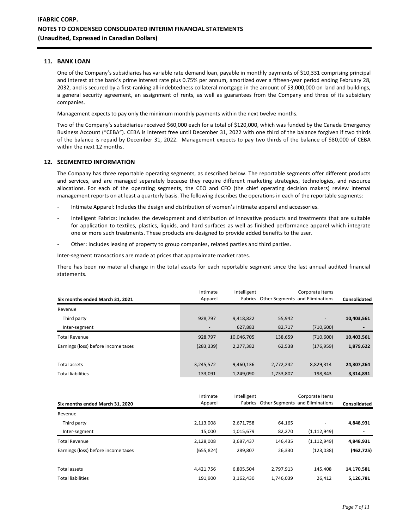#### **11. BANK LOAN**

One of the Company's subsidiaries has variable rate demand loan, payable in monthly payments of \$10,331 comprising principal and interest at the bank's prime interest rate plus 0.75% per annum, amortized over a fifteen-year period ending February 28, 2032, and is secured by a first-ranking all-indebtedness collateral mortgage in the amount of \$3,000,000 on land and buildings, a general security agreement, an assignment of rents, as well as guarantees from the Company and three of its subsidiary companies.

Management expects to pay only the minimum monthly payments within the next twelve months.

Two of the Company's subsidiaries received \$60,000 each for a total of \$120,000, which was funded by the Canada Emergency Business Account ("CEBA"). CEBA is interest free until December 31, 2022 with one third of the balance forgiven if two thirds of the balance is repaid by December 31, 2022. Management expects to pay two thirds of the balance of \$80,000 of CEBA within the next 12 months.

## **12. SEGMENTED INFORMATION**

The Company has three reportable operating segments, as described below. The reportable segments offer different products and services, and are managed separately because they require different marketing strategies, technologies, and resource allocations. For each of the operating segments, the CEO and CFO (the chief operating decision makers) review internal management reports on at least a quarterly basis. The following describes the operations in each of the reportable segments:

- Intimate Apparel: Includes the design and distribution of women's intimate apparel and accessories.
- Intelligent Fabrics: Includes the development and distribution of innovative products and treatments that are suitable for application to textiles, plastics, liquids, and hard surfaces as well as finished performance apparel which integrate one or more such treatments. These products are designed to provide added benefits to the user.
- Other: Includes leasing of property to group companies, related parties and third parties.

Inter-segment transactions are made at prices that approximate market rates.

There has been no material change in the total assets for each reportable segment since the last annual audited financial statements.

| Intimate<br>Apparel          | Intelligent |           | Corporate Items          | Consolidated                            |
|------------------------------|-------------|-----------|--------------------------|-----------------------------------------|
|                              |             |           |                          |                                         |
| 928,797                      | 9,418,822   | 55,942    | $\overline{\phantom{a}}$ | 10,403,561                              |
| $\qquad \qquad \blacksquare$ | 627,883     | 82,717    | (710,600)                |                                         |
| 928,797                      | 10,046,705  | 138,659   | (710,600)                | 10,403,561                              |
| (283, 339)                   | 2,277,382   | 62,538    | (176, 959)               | 1,879,622                               |
|                              |             |           |                          |                                         |
| 3,245,572                    | 9,460,136   | 2,772,242 | 8,829,314                | 24,307,264                              |
| 133,091                      | 1,249,090   | 1,733,807 | 198,843                  | 3,314,831                               |
|                              |             |           |                          | Fabrics Other Segments and Eliminations |

|                                     | Intimate   | Intelligent |           | Corporate Items                         |              |
|-------------------------------------|------------|-------------|-----------|-----------------------------------------|--------------|
| Six months ended March 31, 2020     | Apparel    |             |           | Fabrics Other Segments and Eliminations | Consolidated |
| Revenue                             |            |             |           |                                         |              |
| Third party                         | 2,113,008  | 2,671,758   | 64,165    | ٠                                       | 4,848,931    |
| Inter-segment                       | 15.000     | 1,015,679   | 82,270    | (1, 112, 949)                           | ۰            |
| <b>Total Revenue</b>                | 2,128,008  | 3,687,437   | 146,435   | (1, 112, 949)                           | 4,848,931    |
| Earnings (loss) before income taxes | (655, 824) | 289,807     | 26,330    | (123, 038)                              | (462, 725)   |
| <b>Total assets</b>                 | 4,421,756  | 6,805,504   | 2,797,913 | 145.408                                 | 14,170,581   |
| <b>Total liabilities</b>            | 191,900    | 3,162,430   | 1,746,039 | 26,412                                  | 5,126,781    |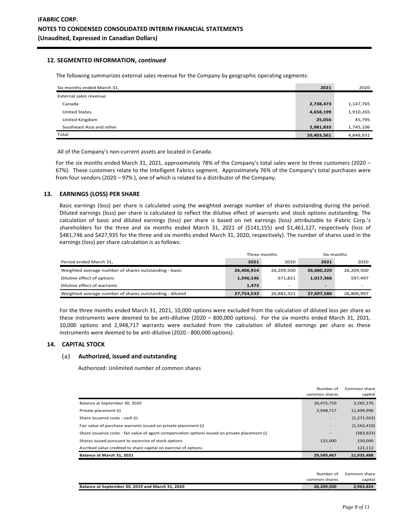### **12. SEGMENTED INFORMATION,** *continued*

The following summarizes external sales revenue for the Company by geographic operating segments:

| Six months ended March 31, | 2021       | 2020      |
|----------------------------|------------|-----------|
| External sales revenue     |            |           |
| Canada                     | 2,738,473  | 1,147,765 |
| <b>United States</b>       | 4,658,199  | 1,910,265 |
| United Kingdom             | 25,056     | 45,795    |
| Southeast Asia and other   | 2,981,833  | 1,745,106 |
| Total                      | 10,403,561 | 4,848,931 |

All of the Company's non-current assets are located in Canada.

For the six months ended March 31, 2021, approximately 78% of the Company's total sales were to three customers (2020 – 67%). These customers relate to the Intelligent Fabrics segment. Approximately 76% of the Company's total purchases were from four vendors (2020 – 97% ), one of which is related to a distributor of the Company.

#### **13. EARNINGS (LOSS) PER SHARE**

Basic earnings (loss) per share is calculated using the weighted average number of shares outstanding during the period. Diluted earnings (loss) per share is calculated to reflect the dilutive effect of warrants and stock options outstanding. The calculation of basic and diluted earnings (loss) per share is based on net earnings (loss) attributable to iFabric Corp.'s shareholders for the three and six months ended March 31, 2021 of (\$141,155) and \$1,461,127, respectively (loss of \$481,746 and \$427,935 for the three and six months ended March 31, 2020, respectively). The number of shares used in the earnings (loss) per share calculation is as follows:

|                                                         | Three months |                          | Six months               |            |
|---------------------------------------------------------|--------------|--------------------------|--------------------------|------------|
| Period ended March 31,                                  | 2021         | 2020                     | 2021                     | 2020       |
| Weighted average number of shares outstanding - basic   | 26,406,914   | 26.209.500               | 26,680,220               | 26,209,500 |
| Dilutive effect of options                              | 1,346,146    | 671.821                  | 1,017,366                | 597.497    |
| Dilutive effect of warrants                             | 1,473        | $\overline{\phantom{0}}$ | $\overline{\phantom{0}}$ | -          |
| Weighted average number of shares outstanding - diluted | 27,754,533   | 26,881,321               | 27,697,586               | 26,806,997 |

For the three months ended March 31, 2021, 10,000 options were excluded from the calculation of diluted loss per share as these instruments were deemed to be anti-dilutive (2020 – 800,000 options). For the six months ended March 31, 2021, 10,000 options and 2,948,717 warrants were excluded from the calculation of diluted earnings per share as these instruments were deemed to be anti-dilutive (2020 - 800,000 options).

#### **14. CAPITAL STOCK**

#### (a) **Authorized, issued and outstanding**

Authorized: Unlimited number of common shares

|                                                                                                 | Number of<br>common shares | Common share<br>capital |
|-------------------------------------------------------------------------------------------------|----------------------------|-------------------------|
| Balance at September 30, 2020                                                                   | 26,475,750                 | 3,282,276               |
| Private placement (i)                                                                           | 2,948,717                  | 11,499,996              |
| Share issuance costs - cash (i)                                                                 |                            | (1, 271, 563)           |
| Fair value of purchase warrants issued on private placement (i)                                 |                            | (1,563,410)             |
| Share issuance costs - fair value of agent compensation options issued on private placement (i) |                            | (383, 923)              |
| Shares issued pursuant to excercise of stock options                                            | 125,000                    | 250,000                 |
| Ascribed value credited to share capital on exercise of options                                 |                            | 122,112                 |
| Balance at March 31, 2021                                                                       | 29,549,467                 | 11.935.488              |

|                                                  | Number of     | Common share |
|--------------------------------------------------|---------------|--------------|
|                                                  | common shares | capital      |
| Balance at September 30, 2019 and March 31, 2020 | 26.209.500    | 2.963.824    |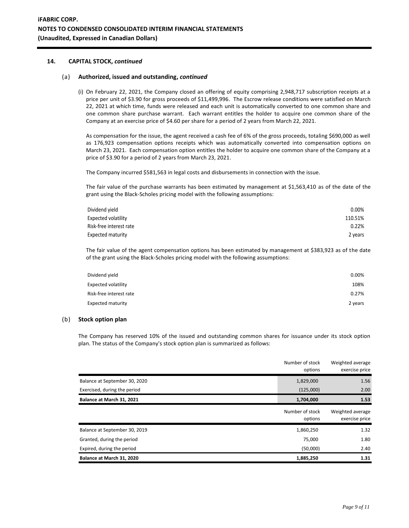## **14. CAPITAL STOCK,** *continued*

### (a) **Authorized, issued and outstanding,** *continued*

(i) On February 22, 2021, the Company closed an offering of equity comprising 2,948,717 subscription receipts at a price per unit of \$3.90 for gross proceeds of \$11,499,996. The Escrow release conditions were satisfied on March 22, 2021 at which time, funds were released and each unit is automatically converted to one common share and one common share purchase warrant. Each warrant entitles the holder to acquire one common share of the Company at an exercise price of \$4.60 per share for a period of 2 years from March 22, 2021.

As compensation for the issue, the agent received a cash fee of 6% of the gross proceeds, totaling \$690,000 as well as 176,923 compensation options receipts which was automatically converted into compensation options on March 23, 2021. Each compensation option entitles the holder to acquire one common share of the Company at a price of \$3.90 for a period of 2 years from March 23, 2021.

The Company incurred \$581,563 in legal costs and disbursements in connection with the issue.

The fair value of the purchase warrants has been estimated by management at \$1,563,410 as of the date of the grant using the Black-Scholes pricing model with the following assumptions:

| Dividend yield          | $0.00\%$ |
|-------------------------|----------|
| Expected volatility     | 110.51%  |
| Risk-free interest rate | 0.22%    |
| Expected maturity       | 2 years  |

The fair value of the agent compensation options has been estimated by management at \$383,923 as of the date of the grant using the Black-Scholes pricing model with the following assumptions:

| Dividend yield             | 0.00%   |
|----------------------------|---------|
| <b>Expected volatility</b> | 108%    |
| Risk-free interest rate    | 0.27%   |
| <b>Expected maturity</b>   | 2 years |

## (b) **Stock option plan**

The Company has reserved 10% of the issued and outstanding common shares for issuance under its stock option plan. The status of the Company's stock option plan is summarized as follows:

|                               | Number of stock<br>options | Weighted average<br>exercise price |
|-------------------------------|----------------------------|------------------------------------|
| Balance at September 30, 2020 | 1,829,000                  | 1.56                               |
| Exercised, during the period  | (125,000)                  | 2.00                               |
| Balance at March 31, 2021     | 1,704,000                  | 1.53                               |
|                               | Number of stock<br>options | Weighted average<br>exercise price |
| Balance at September 30, 2019 | 1,860,250                  | 1.32                               |
| Granted, during the period    | 75,000                     | 1.80                               |
| Expired, during the period    | (50,000)                   | 2.40                               |
| Balance at March 31, 2020     | 1,885,250                  | 1.31                               |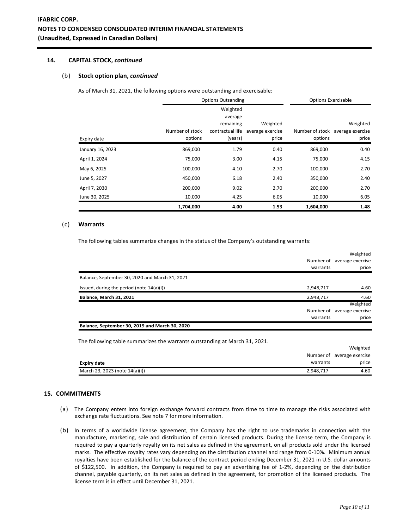# **14. CAPITAL STOCK,** *continued*

#### (b) **Stock option plan,** *continued*

As of March 31, 2021, the following options were outstanding and exercisable:

|                  | <b>Options Outsanding</b> |                  |                  | <b>Options Exercisable</b> |                                  |
|------------------|---------------------------|------------------|------------------|----------------------------|----------------------------------|
|                  |                           | Weighted         |                  |                            |                                  |
|                  |                           | average          |                  |                            |                                  |
|                  |                           | remaining        | Weighted         |                            | Weighted                         |
|                  | Number of stock           | contractual life | average exercise |                            | Number of stock average exercise |
| Expiry date      | options                   | (years)          | price            | options                    | price                            |
| January 16, 2023 | 869,000                   | 1.79             | 0.40             | 869,000                    | 0.40                             |
| April 1, 2024    | 75,000                    | 3.00             | 4.15             | 75,000                     | 4.15                             |
| May 6, 2025      | 100,000                   | 4.10             | 2.70             | 100,000                    | 2.70                             |
| June 5, 2027     | 450,000                   | 6.18             | 2.40             | 350,000                    | 2.40                             |
| April 7, 2030    | 200,000                   | 9.02             | 2.70             | 200,000                    | 2.70                             |
| June 30, 2025    | 10,000                    | 4.25             | 6.05             | 10,000                     | 6.05                             |
|                  | 1,704,000                 | 4.00             | 1.53             | 1,604,000                  | 1.48                             |

### (c) **Warrants**

The following tables summarize changes in the status of the Company's outstanding warrants:

|                                                                            |           | Weighted                   |
|----------------------------------------------------------------------------|-----------|----------------------------|
|                                                                            |           | Number of average exercise |
|                                                                            | warrants  | price                      |
| Balance, September 30, 2020 and March 31, 2021                             |           |                            |
| Issued, during the period (note 14(a)(i))                                  | 2,948,717 | 4.60                       |
| <b>Balance, March 31, 2021</b>                                             | 2,948,717 | 4.60                       |
|                                                                            |           | Weighted                   |
|                                                                            | Number of | average exercise           |
|                                                                            | warrants  | price                      |
| Balance, September 30, 2019 and March 30, 2020                             |           |                            |
| The following table summarizes the warrants outstanding at March 31, 2021. |           |                            |
|                                                                            |           | Weighted                   |
|                                                                            |           | Number of average exercise |
| <b>Expiry date</b>                                                         | warrants  | price                      |
| March 23, 2023 (note 14(a)(i))                                             | 2,948,717 | 4.60                       |

### **15. COMMITMENTS**

- (a) The Company enters into foreign exchange forward contracts from time to time to manage the risks associated with exchange rate fluctuations. See note 7 for more information.
- (b) In terms of a worldwide license agreement, the Company has the right to use trademarks in connection with the manufacture, marketing, sale and distribution of certain licensed products. During the license term, the Company is required to pay a quarterly royalty on its net sales as defined in the agreement, on all products sold under the licensed marks. The effective royalty rates vary depending on the distribution channel and range from 0-10%. Minimum annual royalties have been established for the balance of the contract period ending December 31, 2021 in U.S. dollar amounts of \$122,500. In addition, the Company is required to pay an advertising fee of 1-2%, depending on the distribution channel, payable quarterly, on its net sales as defined in the agreement, for promotion of the licensed products. The license term is in effect until December 31, 2021.